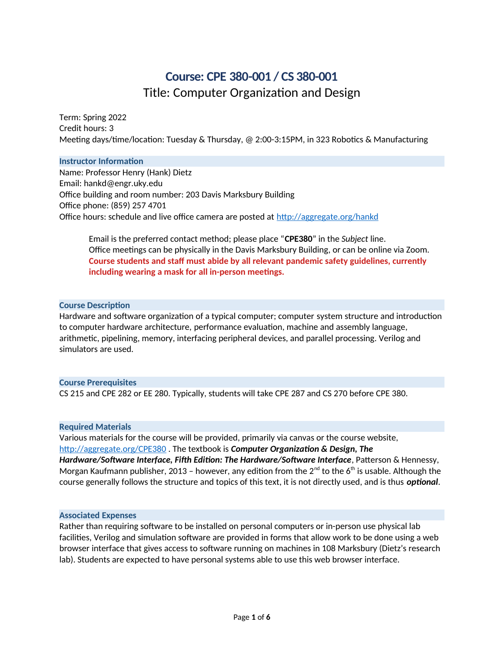# **Course: CPE 380-001 / CS 380-001** Title: Computer Organization and Design

Term: Spring 2022 Credit hours: 3 Meeting days/time/location: Tuesday & Thursday, @ 2:00-3:15PM, in 323 Robotics & Manufacturing

#### **Instructor Information**

Name: Professor Henry (Hank) Dietz Email: hankd@engr.uky.edu Office building and room number: 203 Davis Marksbury Building Office phone: (859) 257 4701 Office hours: schedule and live office camera are posted at <http://aggregate.org/hankd>

Email is the preferred contact method; please place "**CPE380**" in the *Subject* line. Office meetings can be physically in the Davis Marksbury Building, or can be online via Zoom. **Course students and staff must abide by all relevant pandemic safety guidelines, currently including wearing a mask for all in-person meetings.**

## **Course Description**

Hardware and software organization of a typical computer; computer system structure and introduction to computer hardware architecture, performance evaluation, machine and assembly language, arithmetic, pipelining, memory, interfacing peripheral devices, and parallel processing. Verilog and simulators are used.

#### **Course Prerequisites**

CS 215 and CPE 282 or EE 280. Typically, students will take CPE 287 and CS 270 before CPE 380.

## **Required Materials**

Various materials for the course will be provided, primarily via canvas or the course website, <http://aggregate.org/CPE380> . The textbook is *Computer Organization & Design, The Hardware/Software Interface, Fifth Edition: The Hardware/Software Interface*, Patterson & Hennessy, Morgan Kaufmann publisher, 2013 – however, any edition from the  $2^{nd}$  to the 6<sup>th</sup> is usable. Although the course generally follows the structure and topics of this text, it is not directly used, and is thus *optional*.

#### **Associated Expenses**

Rather than requiring software to be installed on personal computers or in-person use physical lab facilities, Verilog and simulation software are provided in forms that allow work to be done using a web browser interface that gives access to software running on machines in 108 Marksbury (Dietz's research lab). Students are expected to have personal systems able to use this web browser interface.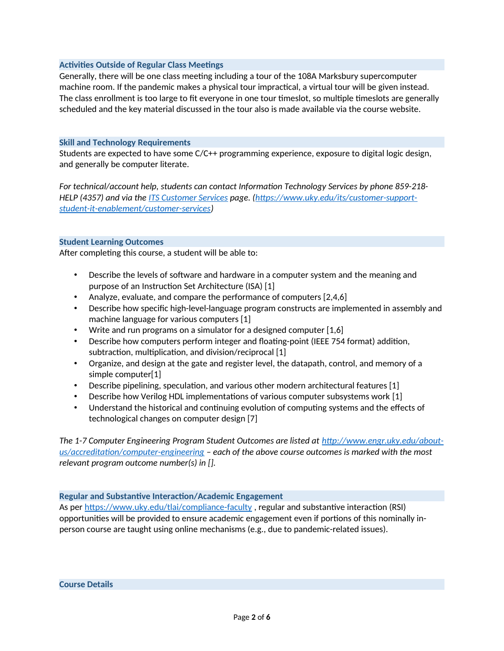## **Activities Outside of Regular Class Meetings**

Generally, there will be one class meeting including a tour of the 108A Marksbury supercomputer machine room. If the pandemic makes a physical tour impractical, a virtual tour will be given instead. The class enrollment is too large to fit everyone in one tour timeslot, so multiple timeslots are generally scheduled and the key material discussed in the tour also is made available via the course website.

## **Skill and Technology Requirements**

Students are expected to have some C/C++ programming experience, exposure to digital logic design, and generally be computer literate.

*For technical/account help, students can contact Information Technology Services by phone 859-218- HELP (4357) and via the [ITS Customer Services](https://www.uky.edu/its/customer-support-student-it-enablement/customer-services) page. [\(https://www.uky.edu/its/customer-support](https://www.uky.edu/its/customer-support-student-it-enablement/customer-services)[student-it-enablement/customer-services](https://www.uky.edu/its/customer-support-student-it-enablement/customer-services))* 

## **Student Learning Outcomes**

After completing this course, a student will be able to:

- Describe the levels of software and hardware in a computer system and the meaning and purpose of an Instruction Set Architecture (ISA) [1]
- Analyze, evaluate, and compare the performance of computers [2,4,6]
- Describe how specific high-level-language program constructs are implemented in assembly and machine language for various computers [1]
- Write and run programs on a simulator for a designed computer  $[1,6]$
- Describe how computers perform integer and floating-point (IEEE 754 format) addition, subtraction, multiplication, and division/reciprocal [1]
- Organize, and design at the gate and register level, the datapath, control, and memory of a simple computer[1]
- Describe pipelining, speculation, and various other modern architectural features [1]
- Describe how Verilog HDL implementations of various computer subsystems work [1]
- Understand the historical and continuing evolution of computing systems and the effects of technological changes on computer design [7]

*The 1-7 Computer Engineering Program Student Outcomes are listed at [http://www.engr.uky.edu/about](http://www.engr.uky.edu/about-us/accreditation/computer-engineering)[us/accreditation/computer-engineering](http://www.engr.uky.edu/about-us/accreditation/computer-engineering) – each of the above course outcomes is marked with the most relevant program outcome number(s) in [].*

## **Regular and Substantive Interaction/Academic Engagement**

As per <https://www.uky.edu/tlai/compliance-faculty>, regular and substantive interaction (RSI) opportunities will be provided to ensure academic engagement even if portions of this nominally inperson course are taught using online mechanisms (e.g., due to pandemic-related issues).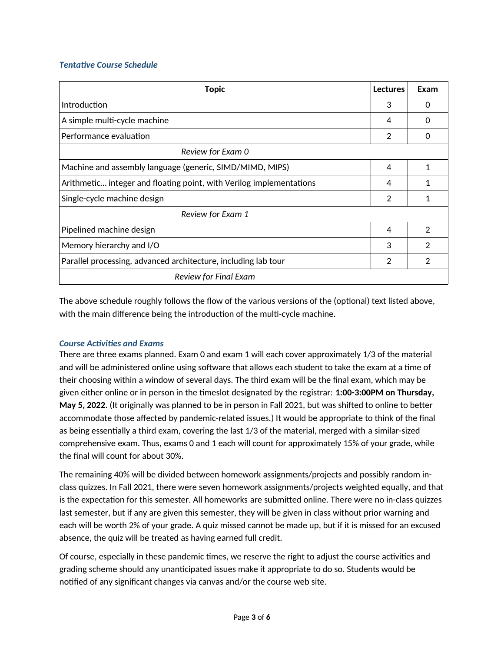# *Tentative Course Schedule*

| <b>Topic</b>                                                        | <b>Lectures</b> | Exam           |
|---------------------------------------------------------------------|-----------------|----------------|
| <b>Introduction</b>                                                 | 3               | 0              |
| A simple multi-cycle machine                                        | 4               | 0              |
| Performance evaluation                                              | $\overline{2}$  | Ω              |
| Review for Exam 0                                                   |                 |                |
| Machine and assembly language (generic, SIMD/MIMD, MIPS)            | 4               | 1              |
| Arithmetic integer and floating point, with Verilog implementations | 4               | 1              |
| Single-cycle machine design                                         | 2               | 1              |
| Review for Exam 1                                                   |                 |                |
| Pipelined machine design                                            | $\overline{4}$  | $\overline{2}$ |
| Memory hierarchy and I/O                                            | 3               | 2              |
| Parallel processing, advanced architecture, including lab tour      | 2               | 2              |
| Review for Final Exam                                               |                 |                |

The above schedule roughly follows the flow of the various versions of the (optional) text listed above, with the main difference being the introduction of the multi-cycle machine.

## *Course Activities and Exams*

There are three exams planned. Exam 0 and exam 1 will each cover approximately 1/3 of the material and will be administered online using software that allows each student to take the exam at a time of their choosing within a window of several days. The third exam will be the final exam, which may be given either online or in person in the timeslot designated by the registrar: **1:00-3:00PM on Thursday, May 5, 2022**. (It originally was planned to be in person in Fall 2021, but was shifted to online to better accommodate those affected by pandemic-related issues.) It would be appropriate to think of the final as being essentially a third exam, covering the last 1/3 of the material, merged with a similar-sized comprehensive exam. Thus, exams 0 and 1 each will count for approximately 15% of your grade, while the final will count for about 30%.

The remaining 40% will be divided between homework assignments/projects and possibly random inclass quizzes. In Fall 2021, there were seven homework assignments/projects weighted equally, and that is the expectation for this semester. All homeworks are submitted online. There were no in-class quizzes last semester, but if any are given this semester, they will be given in class without prior warning and each will be worth 2% of your grade. A quiz missed cannot be made up, but if it is missed for an excused absence, the quiz will be treated as having earned full credit.

Of course, especially in these pandemic times, we reserve the right to adjust the course activities and grading scheme should any unanticipated issues make it appropriate to do so. Students would be notified of any significant changes via canvas and/or the course web site.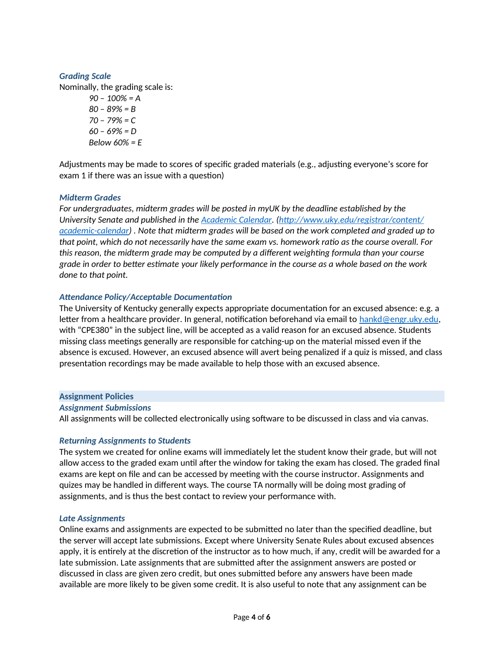# *Grading Scale*

Nominally, the grading scale is:

*90 – 100% = A 80 – 89% = B 70 – 79% = C 60 – 69% = D Below 60% = E*

Adjustments may be made to scores of specific graded materials (e.g., adjusting everyone's score for exam 1 if there was an issue with a question)

## *Midterm Grades*

*For undergraduates, midterm grades will be posted in myUK by the deadline established by the University Senate and published in the [Academic Calendar](http://www.uky.edu/registrar/content/academic-calendar). [\(http://www.uky.edu/registrar/content/](http://www.uky.edu/registrar/content/%E2%80%8Cacademic-calendar) [academic-calendar\)](http://www.uky.edu/registrar/content/%E2%80%8Cacademic-calendar) . Note that midterm grades will be based on the work completed and graded up to that point, which do not necessarily have the same exam vs. homework ratio as the course overall. For this reason, the midterm grade may be computed by a different weighting formula than your course grade in order to better estimate your likely performance in the course as a whole based on the work done to that point.*

## *Attendance Policy/Acceptable Documentation*

The University of Kentucky generally expects appropriate documentation for an excused absence: e.g. a letter from a healthcare provider. In general, notification beforehand via email to [hankd@engr.uky.edu](mailto:hankd@engr.uky.edu), with "CPE380" in the subject line, will be accepted as a valid reason for an excused absence. Students missing class meetings generally are responsible for catching-up on the material missed even if the absence is excused. However, an excused absence will avert being penalized if a quiz is missed, and class presentation recordings may be made available to help those with an excused absence.

## **Assignment Policies**

*Assignment Submissions*

All assignments will be collected electronically using software to be discussed in class and via canvas.

## *Returning Assignments to Students*

The system we created for online exams will immediately let the student know their grade, but will not allow access to the graded exam until after the window for taking the exam has closed. The graded final exams are kept on file and can be accessed by meeting with the course instructor. Assignments and quizes may be handled in different ways. The course TA normally will be doing most grading of assignments, and is thus the best contact to review your performance with.

## *Late Assignments*

Online exams and assignments are expected to be submitted no later than the specified deadline, but the server will accept late submissions. Except where University Senate Rules about excused absences apply, it is entirely at the discretion of the instructor as to how much, if any, credit will be awarded for a late submission. Late assignments that are submitted after the assignment answers are posted or discussed in class are given zero credit, but ones submitted before any answers have been made available are more likely to be given some credit. It is also useful to note that any assignment can be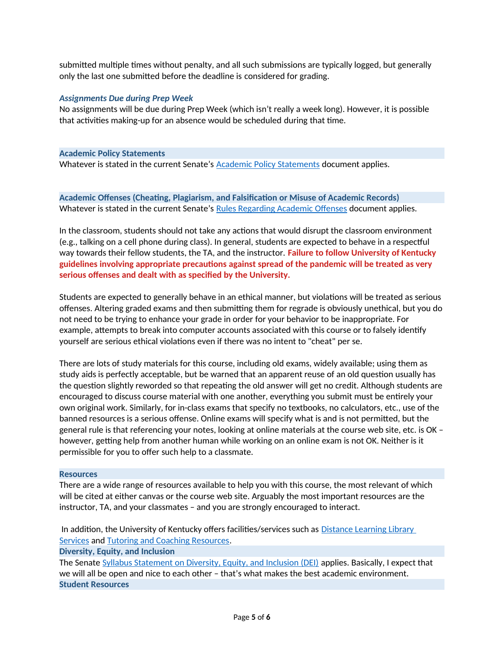submitted multiple times without penalty, and all such submissions are typically logged, but generally only the last one submitted before the deadline is considered for grading.

## *Assignments Due during Prep Week*

No assignments will be due during Prep Week (which isn't really a week long). However, it is possible that activities making-up for an absence would be scheduled during that time.

#### **Academic Policy Statements**

Whatever is stated in the current Senate's **Academic Policy Statements** document applies.

**Academic Offenses (Cheating, Plagiarism, and Falsification or Misuse of Academic Records)** Whatever is stated in the current Senate's [Rules Regarding Academic Offenses](https://www.uky.edu/universitysenate/ao) document applies.

In the classroom, students should not take any actions that would disrupt the classroom environment (e.g., talking on a cell phone during class). In general, students are expected to behave in a respectful way towards their fellow students, the TA, and the instructor. **Failure to follow University of Kentucky guidelines involving appropriate precautions against spread of the pandemic will be treated as very serious offenses and dealt with as specified by the University.**

Students are expected to generally behave in an ethical manner, but violations will be treated as serious offenses. Altering graded exams and then submitting them for regrade is obviously unethical, but you do not need to be trying to enhance your grade in order for your behavior to be inappropriate. For example, attempts to break into computer accounts associated with this course or to falsely identify yourself are serious ethical violations even if there was no intent to "cheat" per se.

There are lots of study materials for this course, including old exams, widely available; using them as study aids is perfectly acceptable, but be warned that an apparent reuse of an old question usually has the question slightly reworded so that repeating the old answer will get no credit. Although students are encouraged to discuss course material with one another, everything you submit must be entirely your own original work. Similarly, for in-class exams that specify no textbooks, no calculators, etc., use of the banned resources is a serious offense. Online exams will specify what is and is not permitted, but the general rule is that referencing your notes, looking at online materials at the course web site, etc. is OK – however, getting help from another human while working on an online exam is not OK. Neither is it permissible for you to offer such help to a classmate.

## **Resources**

There are a wide range of resources available to help you with this course, the most relevant of which will be cited at either canvas or the course web site. Arguably the most important resources are the instructor, TA, and your classmates – and you are strongly encouraged to interact.

In addition, the University of Kentucky offers facilities/services such as Distance Learning Library [Services](https://libraries.uky.edu/page.php?lweb_id=1020) and [Tutoring and Coaching Resources.](https://www.uky.edu/studentacademicsupport/free-tutoring-and-coaching-resources) **Diversity, Equity, and Inclusion**

The Senate [Syllabus Statement on Diversity, Equity, and Inclusion \(DEI\)](https://www.uky.edu/universitysenate/syllabus-dei) applies. Basically, I expect that we will all be open and nice to each other – that's what makes the best academic environment. **Student Resources**